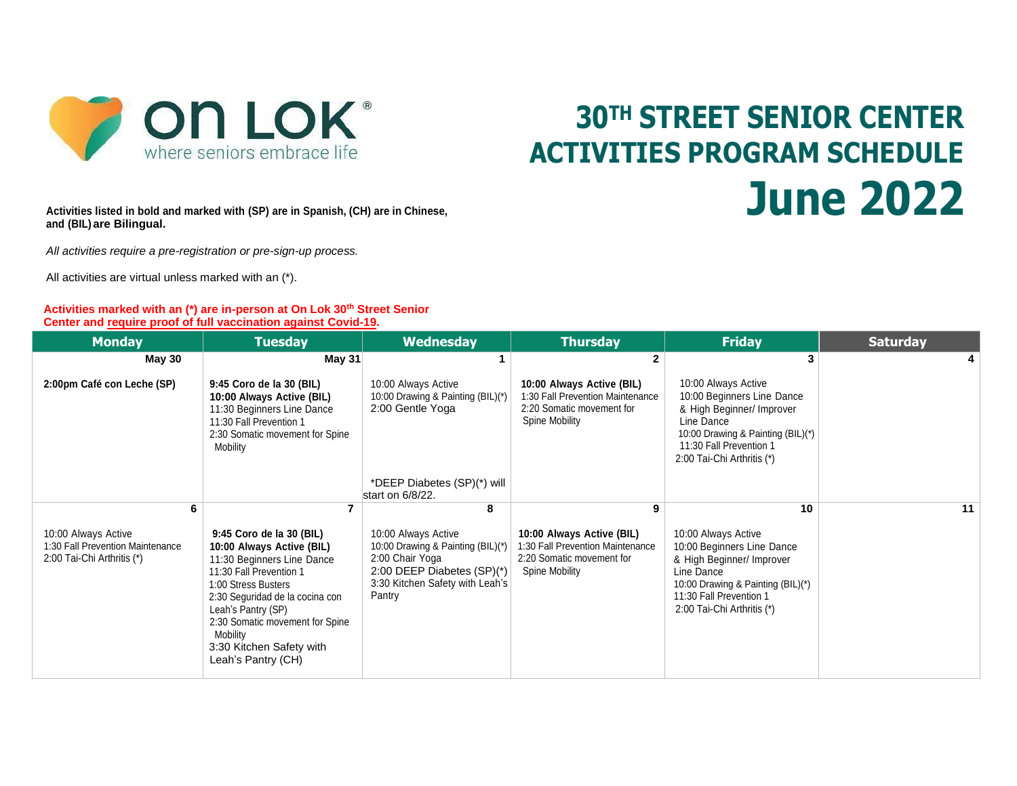

# **30TH STREET SENIOR CENTER ACTIVITIES PROGRAM SCHEDULE June 2022**

**Activities listed in bold and marked with (SP) are in Spanish, (CH) are in Chinese, and (BIL) are Bilingual.**

*All activities require a pre-registration or pre-sign-up process.* 

All activities are virtual unless marked with an (\*).

#### **Activities marked with an (\*) are in-person at On Lok 30th Street Senior Center and require proof of full vaccination against Covid-19.**

| <b>Monday</b>                                                                         | <b>Tuesday</b>                                                                                                                                                                                                                                                                                  | <b>Wednesday</b>                                                                                                                                         | <b>Thursday</b>                                                                                              | <b>Friday</b>                                                                                                                                                                              | <b>Saturday</b> |
|---------------------------------------------------------------------------------------|-------------------------------------------------------------------------------------------------------------------------------------------------------------------------------------------------------------------------------------------------------------------------------------------------|----------------------------------------------------------------------------------------------------------------------------------------------------------|--------------------------------------------------------------------------------------------------------------|--------------------------------------------------------------------------------------------------------------------------------------------------------------------------------------------|-----------------|
| <b>May 30</b>                                                                         | <b>May 31</b>                                                                                                                                                                                                                                                                                   |                                                                                                                                                          |                                                                                                              |                                                                                                                                                                                            |                 |
| 2:00pm Café con Leche (SP)                                                            | 9:45 Coro de la 30 (BIL)<br>10:00 Always Active (BIL)<br>11:30 Beginners Line Dance<br>11:30 Fall Prevention 1<br>2:30 Somatic movement for Spine<br>Mobility                                                                                                                                   | 10:00 Always Active<br>10:00 Drawing & Painting (BIL)(*)<br>2:00 Gentle Yoga                                                                             | 10:00 Always Active (BIL)<br>1:30 Fall Prevention Maintenance<br>2:20 Somatic movement for<br>Spine Mobility | 10:00 Always Active<br>10:00 Beginners Line Dance<br>& High Beginner/ Improver<br>Line Dance<br>10:00 Drawing & Painting (BIL)(*)<br>11:30 Fall Prevention 1<br>2:00 Tai-Chi Arthritis (*) |                 |
|                                                                                       |                                                                                                                                                                                                                                                                                                 | *DEEP Diabetes (SP)(*) will<br>start on 6/8/22.                                                                                                          |                                                                                                              |                                                                                                                                                                                            |                 |
|                                                                                       |                                                                                                                                                                                                                                                                                                 | 8                                                                                                                                                        |                                                                                                              | 10                                                                                                                                                                                         | 11              |
| 10:00 Always Active<br>1:30 Fall Prevention Maintenance<br>2:00 Tai-Chi Arthritis (*) | 9:45 Coro de la 30 (BIL)<br>10:00 Always Active (BIL)<br>11:30 Beginners Line Dance<br>11:30 Fall Prevention 1<br>1:00 Stress Busters<br>2:30 Seguridad de la cocina con<br>Leah's Pantry (SP)<br>2:30 Somatic movement for Spine<br>Mobility<br>3:30 Kitchen Safety with<br>Leah's Pantry (CH) | 10:00 Always Active<br>10:00 Drawing & Painting (BIL)(*)<br>2:00 Chair Yoga<br>2:00 DEEP Diabetes $(SP)(*)$<br>3:30 Kitchen Safety with Leah's<br>Pantry | 10:00 Always Active (BIL)<br>1:30 Fall Prevention Maintenance<br>2:20 Somatic movement for<br>Spine Mobility | 10:00 Always Active<br>10:00 Beginners Line Dance<br>& High Beginner/ Improver<br>Line Dance<br>10:00 Drawing & Painting (BIL)(*)<br>11:30 Fall Prevention 1<br>2:00 Tai-Chi Arthritis (*) |                 |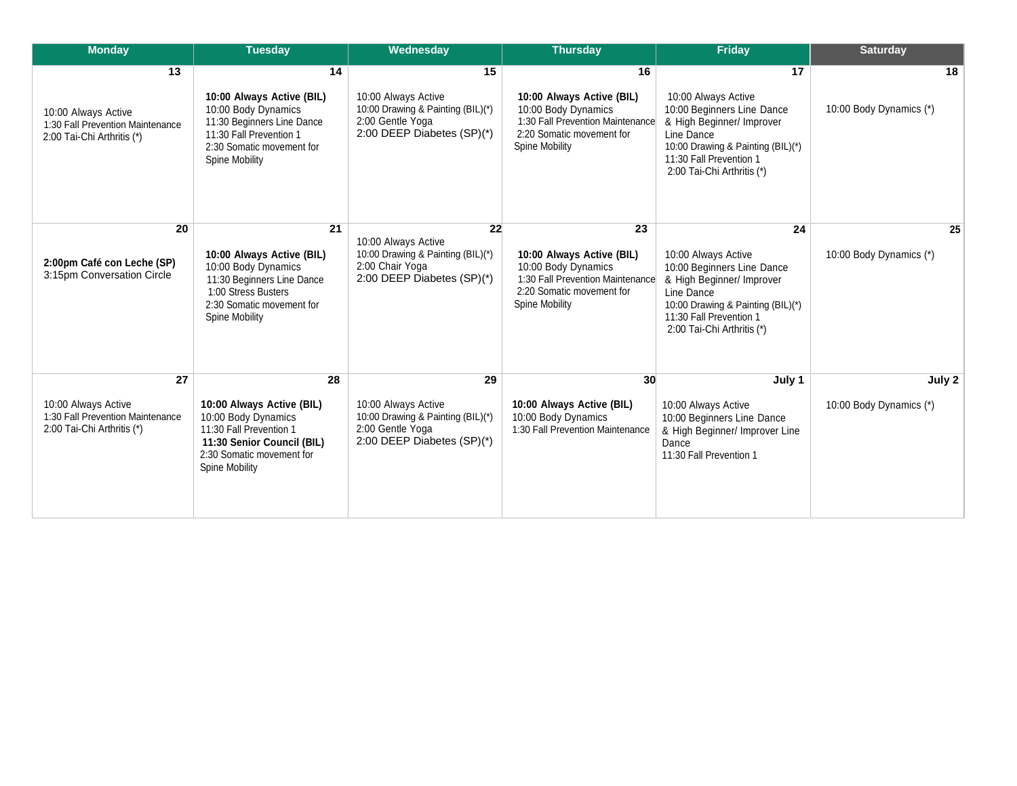| <b>Monday</b>                                                                               | <b>Tuesday</b>                                                                                                                                                 | Wednesday                                                                                                        | <b>Thursday</b>                                                                                                                                  | Friday                                                                                                                                                                                           | <b>Saturday</b>                   |
|---------------------------------------------------------------------------------------------|----------------------------------------------------------------------------------------------------------------------------------------------------------------|------------------------------------------------------------------------------------------------------------------|--------------------------------------------------------------------------------------------------------------------------------------------------|--------------------------------------------------------------------------------------------------------------------------------------------------------------------------------------------------|-----------------------------------|
| 13<br>10:00 Always Active<br>1:30 Fall Prevention Maintenance<br>2:00 Tai-Chi Arthritis (*) | 14<br>10:00 Always Active (BIL)<br>10:00 Body Dynamics<br>11:30 Beginners Line Dance<br>11:30 Fall Prevention 1<br>2:30 Somatic movement for<br>Spine Mobility | 15<br>10:00 Always Active<br>10:00 Drawing & Painting (BIL)(*)<br>2:00 Gentle Yoga<br>2:00 DEEP Diabetes (SP)(*) | 16<br>10:00 Always Active (BIL)<br>10:00 Body Dynamics<br>1:30 Fall Prevention Maintenance<br>2:20 Somatic movement for<br><b>Spine Mobility</b> | 17<br>10:00 Always Active<br>10:00 Beginners Line Dance<br>& High Beginner/ Improver<br>Line Dance<br>10:00 Drawing & Painting (BIL)(*)<br>11:30 Fall Prevention 1<br>2:00 Tai-Chi Arthritis (*) | 18<br>10:00 Body Dynamics (*)     |
| 20<br>2:00pm Café con Leche (SP)<br>3:15pm Conversation Circle                              | 21<br>10:00 Always Active (BIL)<br>10:00 Body Dynamics<br>11:30 Beginners Line Dance<br>1:00 Stress Busters<br>2:30 Somatic movement for<br>Spine Mobility     | 22<br>10:00 Always Active<br>10:00 Drawing & Painting (BIL)(*)<br>2:00 Chair Yoga<br>2:00 DEEP Diabetes (SP)(*)  | 23<br>10:00 Always Active (BIL)<br>10:00 Body Dynamics<br>1:30 Fall Prevention Maintenance<br>2:20 Somatic movement for<br>Spine Mobility        | 24<br>10:00 Always Active<br>10:00 Beginners Line Dance<br>& High Beginner/ Improver<br>Line Dance<br>10:00 Drawing & Painting (BIL)(*)<br>11:30 Fall Prevention 1<br>2:00 Tai-Chi Arthritis (*) | 25<br>10:00 Body Dynamics (*)     |
| 27<br>10:00 Always Active<br>1:30 Fall Prevention Maintenance<br>2:00 Tai-Chi Arthritis (*) | 28<br>10:00 Always Active (BIL)<br>10:00 Body Dynamics<br>11:30 Fall Prevention 1<br>11:30 Senior Council (BIL)<br>2:30 Somatic movement for<br>Spine Mobility | 29<br>10:00 Always Active<br>10:00 Drawing & Painting (BIL)(*)<br>2:00 Gentle Yoga<br>2:00 DEEP Diabetes (SP)(*) | 30<br>10:00 Always Active (BIL)<br>10:00 Body Dynamics<br>1:30 Fall Prevention Maintenance                                                       | July 1<br>10:00 Always Active<br>10:00 Beginners Line Dance<br>& High Beginner/ Improver Line<br>Dance<br>11:30 Fall Prevention 1                                                                | July 2<br>10:00 Body Dynamics (*) |